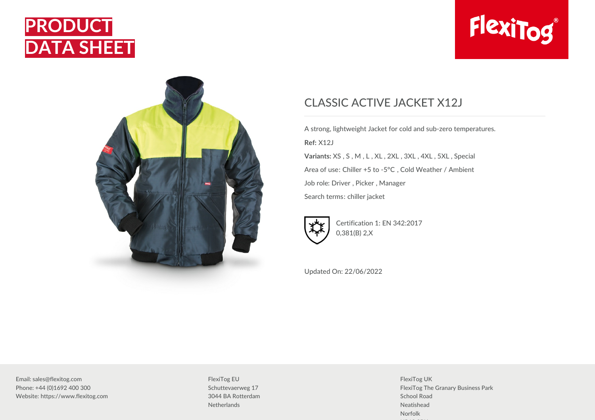





## CLASSIC ACTIVE JACKET X12J

A strong, lightweight Jacket for cold and sub-zero temperatures. **Ref:** X12J **Variants:** XS , S , M , L , XL , 2XL , 3XL , 4XL , 5XL , Special Area of use: Chiller +5 to -5°C , Cold Weather / Ambient Job role: Driver , Picker , Manager Search terms: chiller jacket



Certification 1: EN 342:2017 0,381(B) 2,X

Updated On: 22/06/2022

Email: sales@flexitog.com Phone: +44 (0)1692 400 300 Website: https://www.flexitog.com

FlexiTog EU Schuttevaerweg 17 3044 BA Rotterdam **Netherlands** 

FlexiTog UK FlexiTog The Granary Business Park School Road Neatishead Norfolk